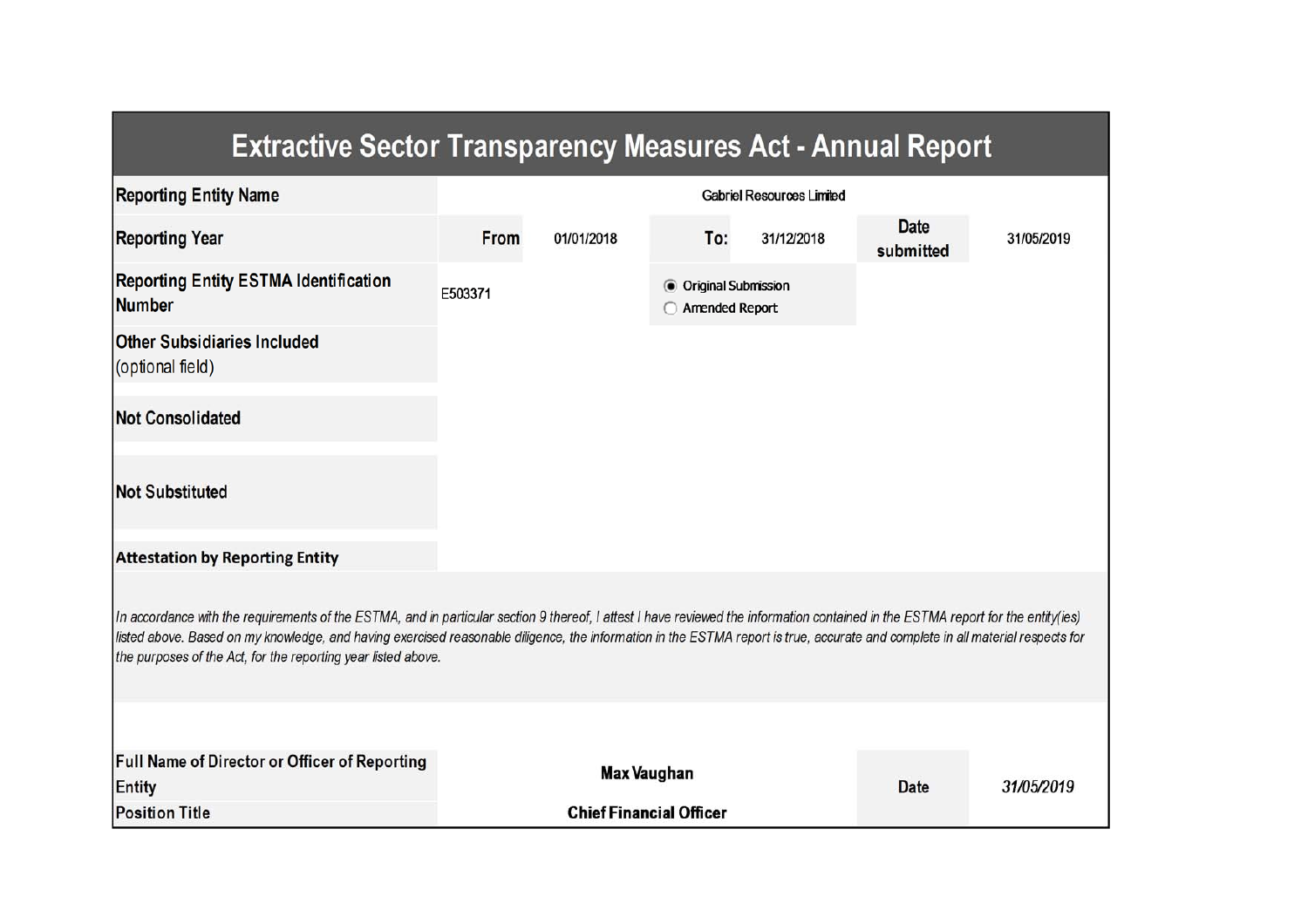| <b>Extractive Sector Transparency Measures Act - Annual Report</b>                                                                                                                                                                                                                                                                                                                                                                    |                                  |                                |                                                |            |                          |            |  |
|---------------------------------------------------------------------------------------------------------------------------------------------------------------------------------------------------------------------------------------------------------------------------------------------------------------------------------------------------------------------------------------------------------------------------------------|----------------------------------|--------------------------------|------------------------------------------------|------------|--------------------------|------------|--|
| <b>Reporting Entity Name</b>                                                                                                                                                                                                                                                                                                                                                                                                          | <b>Gabriel Resources Limited</b> |                                |                                                |            |                          |            |  |
| <b>Reporting Year</b>                                                                                                                                                                                                                                                                                                                                                                                                                 | From                             | 01/01/2018                     | To:                                            | 31/12/2018 | <b>Date</b><br>submitted | 31/05/2019 |  |
| <b>Reporting Entity ESTMA Identification</b><br><b>Number</b>                                                                                                                                                                                                                                                                                                                                                                         | E503371                          |                                | <b>O</b> Original Submission<br>Amended Report |            |                          |            |  |
| <b>Other Subsidiaries Included</b><br>(optional field)                                                                                                                                                                                                                                                                                                                                                                                |                                  |                                |                                                |            |                          |            |  |
| <b>Not Consolidated</b>                                                                                                                                                                                                                                                                                                                                                                                                               |                                  |                                |                                                |            |                          |            |  |
| <b>Not Substituted</b>                                                                                                                                                                                                                                                                                                                                                                                                                |                                  |                                |                                                |            |                          |            |  |
| <b>Attestation by Reporting Entity</b>                                                                                                                                                                                                                                                                                                                                                                                                |                                  |                                |                                                |            |                          |            |  |
| In accordance with the requirements of the ESTMA, and in particular section 9 thereof, I attest I have reviewed the information contained in the ESTMA report for the entity(ies)<br>listed above. Based on my knowledge, and having exercised reasonable diligence, the information in the ESTMA report is true, accurate and complete in all material respects for<br>the purposes of the Act, for the reporting year listed above. |                                  |                                |                                                |            |                          |            |  |
|                                                                                                                                                                                                                                                                                                                                                                                                                                       |                                  |                                |                                                |            |                          |            |  |
| Full Name of Director or Officer of Reporting<br>Entity                                                                                                                                                                                                                                                                                                                                                                               |                                  | Max Vaughan                    |                                                |            | <b>Date</b>              | 31/05/2019 |  |
| <b>Position Title</b>                                                                                                                                                                                                                                                                                                                                                                                                                 |                                  | <b>Chief Financial Officer</b> |                                                |            |                          |            |  |